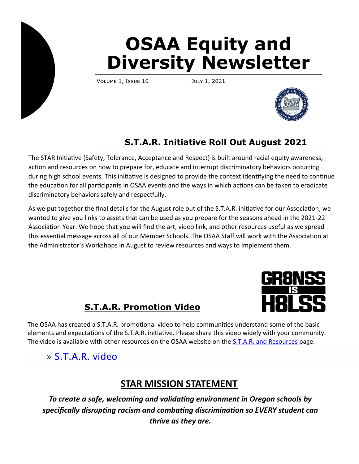# **OSAA Equity and Diversity Newsletter**

Volume 1, Issue 10 July 1, 2021



# **S.T.A.R. Initiative Roll Out August 2021**

The STAR Initiative (Safety, Tolerance, Acceptance and Respect) is built around racial equity awareness, action and resources on how to prepare for, educate and interrupt discriminatory behaviors occurring during high school events. This initiative is designed to provide the context identifying the need to continue the education for all participants in OSAA events and the ways in which actions can be taken to eradicate discriminatory behaviors safely and respectfully.

As we put together the final details for the August role out of the S.T.A.R. initiative for our Association, we wanted to give you links to assets that can be used as you prepare for the seasons ahead in the 2021-22 Association Year. We hope that you will find the art, video link, and other resources useful as we spread this essential message across all of our Member Schools. The OSAA Staff will work with the Association at the Administrator's Workshops in August to review resources and ways to implement them.



## **S.T.A.R. Promotion Video**

The OSAA has created a S.T.A.R. promotional video to help communities understand some of the basic elements and expectations of the S.T.A.R. initiative. Please share this video widely with your community. The video is available with other resources on the OSAA website on the [S.T.A.R. and Resources](https://www.osaa.org/equity/star-resources) page.

## » [S.T.A.R. video](https://osaa-bulk-media.s3.us-west-2.amazonaws.com/OSAA_STAR_Video.mp4)

## **STAR MISSION STATEMENT**

*To create a safe, welcoming and validating environment in Oregon schools by specifically disrupting racism and combating discrimination so EVERY student can thrive as they are.*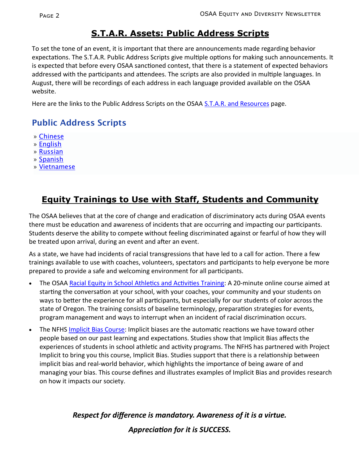### **S.T.A.R. Assets: Public Address Scripts**

To set the tone of an event, it is important that there are announcements made regarding behavior expectations. The S.T.A.R. Public Address Scripts give multiple options for making such announcements. It is expected that before every OSAA sanctioned contest, that there is a statement of expected behaviors addressed with the participants and attendees. The scripts are also provided in multiple languages. In August, there will be recordings of each address in each language provided available on the OSAA website.

Here are the links to the Public Address Scripts on the OSAA [S.T.A.R. and Resources](https://www.osaa.org/equity/star-resources) page.

#### Public Address Scripts

- » [Chinese](https://www.osaa.org/docs/equity/STARPAscriptChinese.pdf)
- » [English](https://www.osaa.org/docs/equity/STARPAscriptEnglish.pdf)
- » [Russian](https://www.osaa.org/docs/equity/STARPAscriptRussian.pdf)
- » [Spanish](https://www.osaa.org/docs/equity/STARPAscriptSpanish.pdf)
- » [Vietnamese](https://www.osaa.org/docs/equity/STARPAscriptVietnamese.pdf)

#### **Equity Trainings to Use with Staff, Students and Community**

The OSAA believes that at the core of change and eradication of discriminatory acts during OSAA events there must be education and awareness of incidents that are occurring and impacting our participants. Students deserve the ability to compete without feeling discriminated against or fearful of how they will be treated upon arrival, during an event and after an event.

As a state, we have had incidents of racial transgressions that have led to a call for action. There a few trainings available to use with coaches, volunteers, spectators and participants to help everyone be more prepared to provide a safe and welcoming environment for all participants.

- The OSAA [Racial Equity in School Athletics and Activities Training:](http://www.osaa.org/demo/training-courses/racial-equity/index.html) A 20-minute online course aimed at starting the conversation at your school, with your coaches, your community and your students on ways to better the experience for all participants, but especially for our students of color across the state of Oregon. The training consists of baseline terminology, preparation strategies for events, program management and ways to interrupt when an incident of racial discrimination occurs.
- The NFHS [Implicit Bias Course:](https://nfhslearn.com/courses/implicit-bias) Implicit biases are the automatic reactions we have toward other people based on our past learning and expectations. Studies show that Implicit Bias affects the experiences of students in school athletic and activity programs. The NFHS has partnered with Project Implicit to bring you this course, Implicit Bias. Studies support that there is a relationship between implicit bias and real-world behavior, which highlights the importance of being aware of and managing your bias. This course defines and illustrates examples of Implicit Bias and provides research on how it impacts our society.

*Respect for difference is mandatory. Awareness of it is a virtue. Appreciation for it is SUCCESS.*